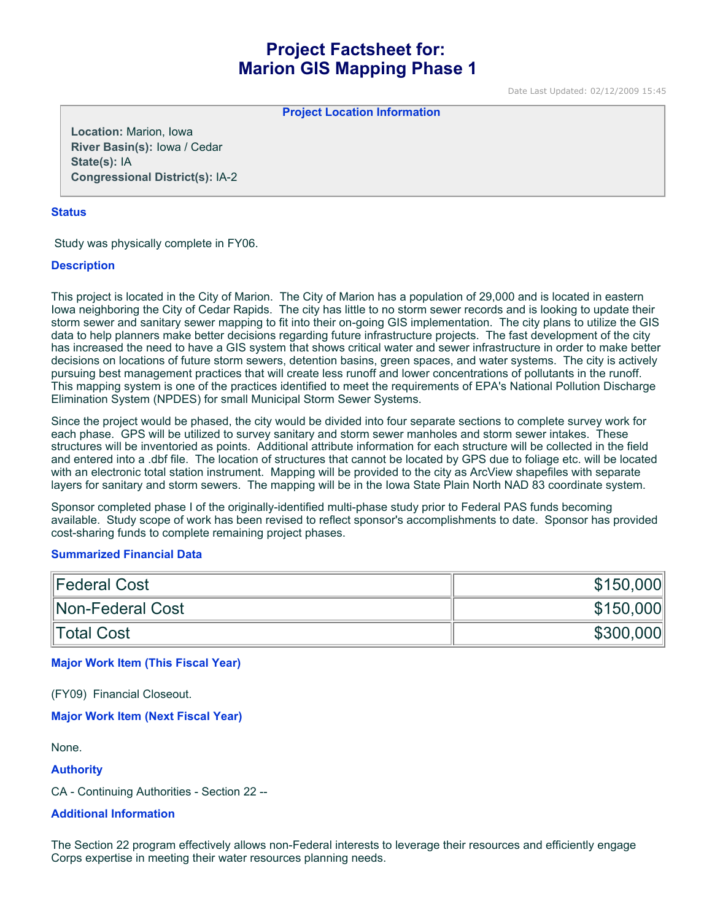# **Project Factsheet for: Marion GIS Mapping Phase 1**

Date Last Updated: 02/12/2009 15:45

**Project Location Information** 

**Location:** Marion, Iowa **River Basin(s):** Iowa / Cedar **State(s):** IA **Congressional District(s):** IA-2

### **Status**

Study was physically complete in FY06.

# **Description**

This project is located in the City of Marion. The City of Marion has a population of 29,000 and is located in eastern Iowa neighboring the City of Cedar Rapids. The city has little to no storm sewer records and is looking to update their storm sewer and sanitary sewer mapping to fit into their on-going GIS implementation. The city plans to utilize the GIS data to help planners make better decisions regarding future infrastructure projects. The fast development of the city has increased the need to have a GIS system that shows critical water and sewer infrastructure in order to make better decisions on locations of future storm sewers, detention basins, green spaces, and water systems. The city is actively pursuing best management practices that will create less runoff and lower concentrations of pollutants in the runoff. This mapping system is one of the practices identified to meet the requirements of EPA's National Pollution Discharge Elimination System (NPDES) for small Municipal Storm Sewer Systems.

Since the project would be phased, the city would be divided into four separate sections to complete survey work for each phase. GPS will be utilized to survey sanitary and storm sewer manholes and storm sewer intakes. These structures will be inventoried as points. Additional attribute information for each structure will be collected in the field and entered into a .dbf file. The location of structures that cannot be located by GPS due to foliage etc. will be located with an electronic total station instrument. Mapping will be provided to the city as ArcView shapefiles with separate layers for sanitary and storm sewers. The mapping will be in the Iowa State Plain North NAD 83 coordinate system.

Sponsor completed phase I of the originally-identified multi-phase study prior to Federal PAS funds becoming available. Study scope of work has been revised to reflect sponsor's accomplishments to date. Sponsor has provided cost-sharing funds to complete remaining project phases.

# **Summarized Financial Data**

| Federal Cost     | \$150,000 |
|------------------|-----------|
| Non-Federal Cost | \$150,000 |
| Total Cost       | \$300,000 |

# **Major Work Item (This Fiscal Year)**

(FY09) Financial Closeout.

#### **Major Work Item (Next Fiscal Year)**

None.

#### **Authority**

CA - Continuing Authorities - Section 22 --

#### **Additional Information**

The Section 22 program effectively allows non-Federal interests to leverage their resources and efficiently engage Corps expertise in meeting their water resources planning needs.